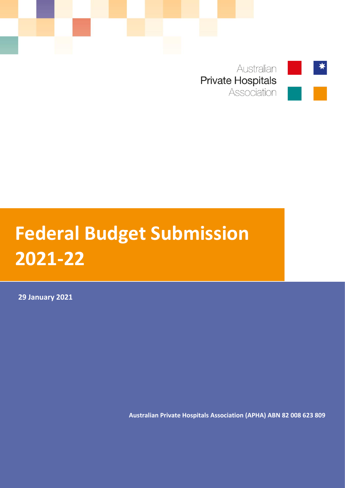

Australian **Private Hospitals** Association

# **Federal Budget Submission 2021-22**

**29 January 2021**

**Australian Private Hospitals Association (APHA) ABN 82 008 623 809**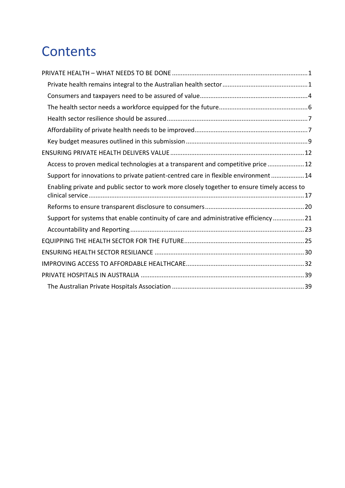## **Contents**

| Access to proven medical technologies at a transparent and competitive price 12             |
|---------------------------------------------------------------------------------------------|
| Support for innovations to private patient-centred care in flexible environment14           |
|                                                                                             |
| Enabling private and public sector to work more closely together to ensure timely access to |
|                                                                                             |
| Support for systems that enable continuity of care and administrative efficiency21          |
|                                                                                             |
|                                                                                             |
|                                                                                             |
|                                                                                             |
|                                                                                             |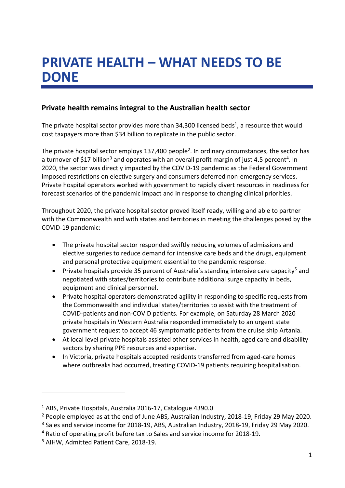## <span id="page-2-0"></span>**PRIVATE HEALTH – WHAT NEEDS TO BE DONE**

#### <span id="page-2-1"></span>**Private health remains integral to the Australian health sector**

The private hospital sector provides more than 34,300 licensed beds<sup>1</sup>, a resource that would cost taxpayers more than \$34 billion to replicate in the public sector.

The private hospital sector employs 137,400 people<sup>2</sup>. In ordinary circumstances, the sector has a turnover of \$17 billion<sup>3</sup> and operates with an overall profit margin of just 4.5 percent<sup>4</sup>. In 2020, the sector was directly impacted by the COVID-19 pandemic as the Federal Government imposed restrictions on elective surgery and consumers deferred non-emergency services. Private hospital operators worked with government to rapidly divert resources in readiness for forecast scenarios of the pandemic impact and in response to changing clinical priorities.

Throughout 2020, the private hospital sector proved itself ready, willing and able to partner with the Commonwealth and with states and territories in meeting the challenges posed by the COVID-19 pandemic:

- The private hospital sector responded swiftly reducing volumes of admissions and elective surgeries to reduce demand for intensive care beds and the drugs, equipment and personal protective equipment essential to the pandemic response.
- **Private hospitals provide 35 percent of Australia's standing intensive care capacity<sup>5</sup> and** negotiated with states/territories to contribute additional surge capacity in beds, equipment and clinical personnel.
- Private hospital operators demonstrated agility in responding to specific requests from the Commonwealth and individual states/territories to assist with the treatment of COVID-patients and non-COVID patients. For example, on Saturday 28 March 2020 private hospitals in Western Australia responded immediately to an urgent state government request to accept 46 symptomatic patients from the cruise ship Artania.
- At local level private hospitals assisted other services in health, aged care and disability sectors by sharing PPE resources and expertise.
- In Victoria, private hospitals accepted residents transferred from aged-care homes where outbreaks had occurred, treating COVID-19 patients requiring hospitalisation.

1

<sup>1</sup> ABS, Private Hospitals, Australia 2016-17, Catalogue 4390.0

<sup>2</sup> People employed as at the end of June ABS, Australian Industry, 2018-19, Friday 29 May 2020.

<sup>&</sup>lt;sup>3</sup> Sales and service income for 2018-19, ABS, Australian Industry, 2018-19, Friday 29 May 2020.

<sup>4</sup> Ratio of operating profit before tax to Sales and service income for 2018-19.

<sup>5</sup> AIHW, Admitted Patient Care, 2018-19.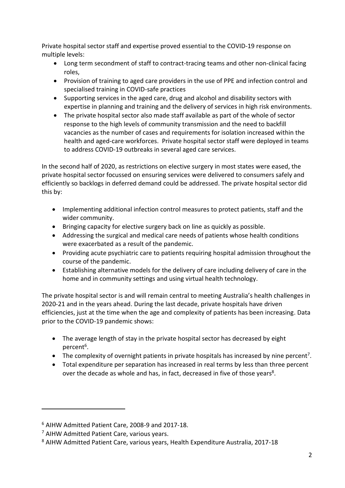Private hospital sector staff and expertise proved essential to the COVID-19 response on multiple levels:

- Long term secondment of staff to contract-tracing teams and other non-clinical facing roles,
- Provision of training to aged care providers in the use of PPE and infection control and specialised training in COVID-safe practices
- Supporting services in the aged care, drug and alcohol and disability sectors with expertise in planning and training and the delivery of services in high risk environments.
- The private hospital sector also made staff available as part of the whole of sector response to the high levels of community transmission and the need to backfill vacancies as the number of cases and requirements for isolation increased within the health and aged-care workforces. Private hospital sector staff were deployed in teams to address COVID-19 outbreaks in several aged care services.

In the second half of 2020, as restrictions on elective surgery in most states were eased, the private hospital sector focussed on ensuring services were delivered to consumers safely and efficiently so backlogs in deferred demand could be addressed. The private hospital sector did this by:

- Implementing additional infection control measures to protect patients, staff and the wider community.
- Bringing capacity for elective surgery back on line as quickly as possible.
- Addressing the surgical and medical care needs of patients whose health conditions were exacerbated as a result of the pandemic.
- Providing acute psychiatric care to patients requiring hospital admission throughout the course of the pandemic.
- Establishing alternative models for the delivery of care including delivery of care in the home and in community settings and using virtual health technology.

The private hospital sector is and will remain central to meeting Australia's health challenges in 2020-21 and in the years ahead. During the last decade, private hospitals have driven efficiencies, just at the time when the age and complexity of patients has been increasing. Data prior to the COVID-19 pandemic shows:

- The average length of stay in the private hospital sector has decreased by eight percent<sup>6</sup>.
- The complexity of overnight patients in private hospitals has increased by nine percent<sup>7</sup>.
- Total expenditure per separation has increased in real terms by less than three percent over the decade as whole and has, in fact, decreased in five of those years<sup>8</sup>.

-

<sup>6</sup> AIHW Admitted Patient Care, 2008-9 and 2017-18.

<sup>7</sup> AIHW Admitted Patient Care, various years.

<sup>8</sup> AIHW Admitted Patient Care, various years, Health Expenditure Australia, 2017-18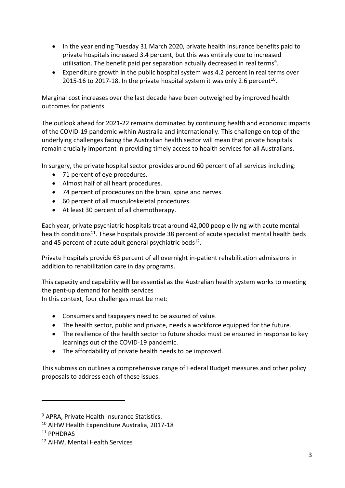- In the year ending Tuesday 31 March 2020, private health insurance benefits paid to private hospitals increased 3.4 percent, but this was entirely due to increased utilisation. The benefit paid per separation actually decreased in real terms<sup>9</sup>.
- Expenditure growth in the public hospital system was 4.2 percent in real terms over 2015-16 to 2017-18. In the private hospital system it was only 2.6 percent<sup>10</sup>.

Marginal cost increases over the last decade have been outweighed by improved health outcomes for patients.

The outlook ahead for 2021-22 remains dominated by continuing health and economic impacts of the COVID-19 pandemic within Australia and internationally. This challenge on top of the underlying challenges facing the Australian health sector will mean that private hospitals remain crucially important in providing timely access to health services for all Australians.

In surgery, the private hospital sector provides around 60 percent of all services including:

- 71 percent of eye procedures.
- Almost half of all heart procedures.
- 74 percent of procedures on the brain, spine and nerves.
- 60 percent of all musculoskeletal procedures.
- At least 30 percent of all chemotherapy.

Each year, private psychiatric hospitals treat around 42,000 people living with acute mental health conditions<sup>11</sup>. These hospitals provide 38 percent of acute specialist mental health beds and 45 percent of acute adult general psychiatric beds $^{12}$ .

Private hospitals provide 63 percent of all overnight in-patient rehabilitation admissions in addition to rehabilitation care in day programs.

This capacity and capability will be essential as the Australian health system works to meeting the pent-up demand for health services

In this context, four challenges must be met:

- Consumers and taxpayers need to be assured of value.
- The health sector, public and private, needs a workforce equipped for the future.
- The resilience of the health sector to future shocks must be ensured in response to key learnings out of the COVID-19 pandemic.
- The affordability of private health needs to be improved.

This submission outlines a comprehensive range of Federal Budget measures and other policy proposals to address each of these issues.

1

<sup>9</sup> APRA, Private Health Insurance Statistics.

<sup>10</sup> AIHW Health Expenditure Australia, 2017-18

<sup>11</sup> PPHDRAS

<sup>12</sup> AIHW, Mental Health Services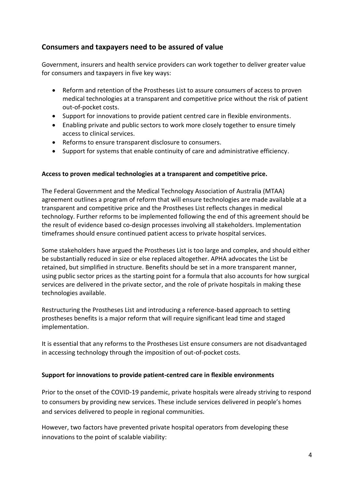#### <span id="page-5-0"></span>**Consumers and taxpayers need to be assured of value**

Government, insurers and health service providers can work together to deliver greater value for consumers and taxpayers in five key ways:

- Reform and retention of the Prostheses List to assure consumers of access to proven medical technologies at a transparent and competitive price without the risk of patient out-of-pocket costs.
- Support for innovations to provide patient centred care in flexible environments.
- Enabling private and public sectors to work more closely together to ensure timely access to clinical services.
- Reforms to ensure transparent disclosure to consumers.
- Support for systems that enable continuity of care and administrative efficiency.

#### **Access to proven medical technologies at a transparent and competitive price.**

The Federal Government and the Medical Technology Association of Australia (MTAA) agreement outlines a program of reform that will ensure technologies are made available at a transparent and competitive price and the Prostheses List reflects changes in medical technology. Further reforms to be implemented following the end of this agreement should be the result of evidence based co-design processes involving all stakeholders. Implementation timeframes should ensure continued patient access to private hospital services.

Some stakeholders have argued the Prostheses List is too large and complex, and should either be substantially reduced in size or else replaced altogether. APHA advocates the List be retained, but simplified in structure. Benefits should be set in a more transparent manner, using public sector prices as the starting point for a formula that also accounts for how surgical services are delivered in the private sector, and the role of private hospitals in making these technologies available.

Restructuring the Prostheses List and introducing a reference-based approach to setting prostheses benefits is a major reform that will require significant lead time and staged implementation.

It is essential that any reforms to the Prostheses List ensure consumers are not disadvantaged in accessing technology through the imposition of out-of-pocket costs.

#### **Support for innovations to provide patient-centred care in flexible environments**

Prior to the onset of the COVID-19 pandemic, private hospitals were already striving to respond to consumers by providing new services. These include services delivered in people's homes and services delivered to people in regional communities.

However, two factors have prevented private hospital operators from developing these innovations to the point of scalable viability: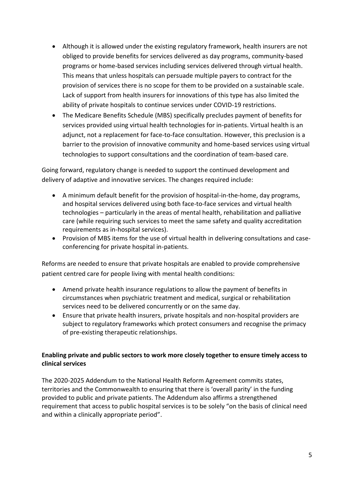- Although it is allowed under the existing regulatory framework, health insurers are not obliged to provide benefits for services delivered as day programs, community-based programs or home-based services including services delivered through virtual health. This means that unless hospitals can persuade multiple payers to contract for the provision of services there is no scope for them to be provided on a sustainable scale. Lack of support from health insurers for innovations of this type has also limited the ability of private hospitals to continue services under COVID-19 restrictions.
- The Medicare Benefits Schedule (MBS) specifically precludes payment of benefits for services provided using virtual health technologies for in-patients. Virtual health is an adjunct, not a replacement for face-to-face consultation. However, this preclusion is a barrier to the provision of innovative community and home-based services using virtual technologies to support consultations and the coordination of team-based care.

Going forward, regulatory change is needed to support the continued development and delivery of adaptive and innovative services. The changes required include:

- A minimum default benefit for the provision of hospital-in-the-home, day programs, and hospital services delivered using both face-to-face services and virtual health technologies – particularly in the areas of mental health, rehabilitation and palliative care (while requiring such services to meet the same safety and quality accreditation requirements as in-hospital services).
- Provision of MBS items for the use of virtual health in delivering consultations and caseconferencing for private hospital in-patients.

Reforms are needed to ensure that private hospitals are enabled to provide comprehensive patient centred care for people living with mental health conditions:

- Amend private health insurance regulations to allow the payment of benefits in circumstances when psychiatric treatment and medical, surgical or rehabilitation services need to be delivered concurrently or on the same day.
- Ensure that private health insurers, private hospitals and non-hospital providers are subject to regulatory frameworks which protect consumers and recognise the primacy of pre-existing therapeutic relationships.

#### **Enabling private and public sectors to work more closely together to ensure timely access to clinical services**

The 2020-2025 Addendum to the National Health Reform Agreement commits states, territories and the Commonwealth to ensuring that there is 'overall parity' in the funding provided to public and private patients. The Addendum also affirms a strengthened requirement that access to public hospital services is to be solely "on the basis of clinical need and within a clinically appropriate period".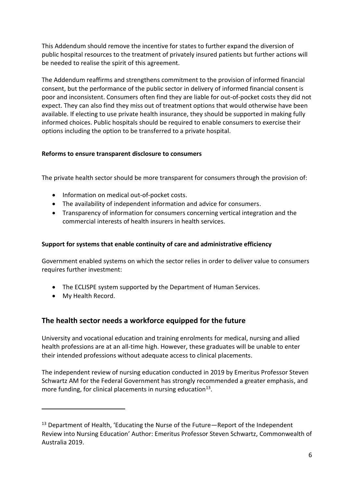This Addendum should remove the incentive for states to further expand the diversion of public hospital resources to the treatment of privately insured patients but further actions will be needed to realise the spirit of this agreement.

The Addendum reaffirms and strengthens commitment to the provision of informed financial consent, but the performance of the public sector in delivery of informed financial consent is poor and inconsistent. Consumers often find they are liable for out-of-pocket costs they did not expect. They can also find they miss out of treatment options that would otherwise have been available. If electing to use private health insurance, they should be supported in making fully informed choices. Public hospitals should be required to enable consumers to exercise their options including the option to be transferred to a private hospital.

#### **Reforms to ensure transparent disclosure to consumers**

The private health sector should be more transparent for consumers through the provision of:

- Information on medical out-of-pocket costs.
- The availability of independent information and advice for consumers.
- Transparency of information for consumers concerning vertical integration and the commercial interests of health insurers in health services.

#### **Support for systems that enable continuity of care and administrative efficiency**

Government enabled systems on which the sector relies in order to deliver value to consumers requires further investment:

- The ECLISPE system supported by the Department of Human Services.
- My Health Record.

-

#### <span id="page-7-0"></span>**The health sector needs a workforce equipped for the future**

University and vocational education and training enrolments for medical, nursing and allied health professions are at an all-time high. However, these graduates will be unable to enter their intended professions without adequate access to clinical placements.

The independent review of nursing education conducted in 2019 by Emeritus Professor Steven Schwartz AM for the Federal Government has strongly recommended a greater emphasis, and more funding, for clinical placements in nursing education $^{13}$ .

<sup>13</sup> Department of Health, 'Educating the Nurse of the Future*—*Report of the Independent Review into Nursing Education' Author: Emeritus Professor Steven Schwartz, Commonwealth of Australia 2019.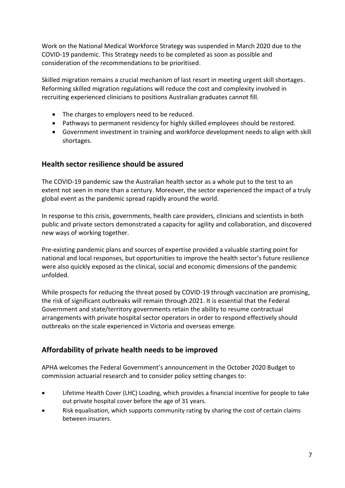Work on the National Medical Workforce Strategy was suspended in March 2020 due to the COVID-19 pandemic. This Strategy needs to be completed as soon as possible and consideration of the recommendations to be prioritised.

Skilled migration remains a crucial mechanism of last resort in meeting urgent skill shortages. Reforming skilled migration regulations will reduce the cost and complexity involved in recruiting experienced clinicians to positions Australian graduates cannot fill.

- The charges to employers need to be reduced.
- Pathways to permanent residency for highly skilled employees should be restored.
- Government investment in training and workforce development needs to align with skill shortages.

#### <span id="page-8-0"></span>**Health sector resilience should be assured**

The COVID-19 pandemic saw the Australian health sector as a whole put to the test to an extent not seen in more than a century. Moreover, the sector experienced the impact of a truly global event as the pandemic spread rapidly around the world.

In response to this crisis, governments, health care providers, clinicians and scientists in both public and private sectors demonstrated a capacity for agility and collaboration, and discovered new ways of working together.

Pre-existing pandemic plans and sources of expertise provided a valuable starting point for national and local responses, but opportunities to improve the health sector's future resilience were also quickly exposed as the clinical, social and economic dimensions of the pandemic unfolded.

While prospects for reducing the threat posed by COVID-19 through vaccination are promising, the risk of significant outbreaks will remain through 2021. It is essential that the Federal Government and state/territory governments retain the ability to resume contractual arrangements with private hospital sector operators in order to respond effectively should outbreaks on the scale experienced in Victoria and overseas emerge.

#### <span id="page-8-1"></span>**Affordability of private health needs to be improved**

APHA welcomes the Federal Government's announcement in the October 2020 Budget to commission actuarial research and to consider policy setting changes to:

- Lifetime Health Cover (LHC) Loading, which provides a financial incentive for people to take out private hospital cover before the age of 31 years.
- Risk equalisation, which supports community rating by sharing the cost of certain claims between insurers.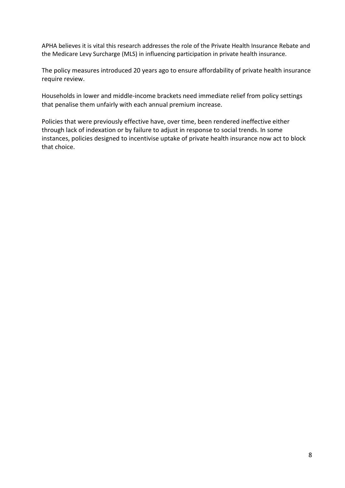APHA believes it is vital this research addresses the role of the Private Health Insurance Rebate and the Medicare Levy Surcharge (MLS) in influencing participation in private health insurance.

The policy measures introduced 20 years ago to ensure affordability of private health insurance require review.

Households in lower and middle-income brackets need immediate relief from policy settings that penalise them unfairly with each annual premium increase.

Policies that were previously effective have, over time, been rendered ineffective either through lack of indexation or by failure to adjust in response to social trends. In some instances, policies designed to incentivise uptake of private health insurance now act to block that choice.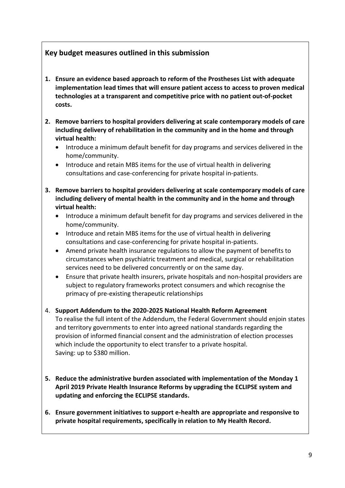#### <span id="page-10-0"></span>**Key budget measures outlined in this submission**

- **1. Ensure an evidence based approach to reform of the Prostheses List with adequate implementation lead times that will ensure patient access to access to proven medical technologies at a transparent and competitive price with no patient out-of-pocket costs.**
- **2. Remove barriers to hospital providers delivering at scale contemporary models of care including delivery of rehabilitation in the community and in the home and through virtual health:**
	- Introduce a minimum default benefit for day programs and services delivered in the home/community.
	- Introduce and retain MBS items for the use of virtual health in delivering consultations and case-conferencing for private hospital in-patients.
- **3. Remove barriers to hospital providers delivering at scale contemporary models of care including delivery of mental health in the community and in the home and through virtual health:**
	- Introduce a minimum default benefit for day programs and services delivered in the home/community.
	- Introduce and retain MBS items for the use of virtual health in delivering consultations and case-conferencing for private hospital in-patients.
	- Amend private health insurance regulations to allow the payment of benefits to circumstances when psychiatric treatment and medical, surgical or rehabilitation services need to be delivered concurrently or on the same day.
	- Ensure that private health insurers, private hospitals and non-hospital providers are subject to regulatory frameworks protect consumers and which recognise the primacy of pre-existing therapeutic relationships
- 4. **Support Addendum to the 2020-2025 National Health Reform Agreement**

To realise the full intent of the Addendum, the Federal Government should enjoin states and territory governments to enter into agreed national standards regarding the provision of informed financial consent and the administration of election processes which include the opportunity to elect transfer to a private hospital. Saving: up to \$380 million.

- **5. Reduce the administrative burden associated with implementation of the Monday 1 April 2019 Private Health Insurance Reforms by upgrading the ECLIPSE system and updating and enforcing the ECLIPSE standards.**
- **6. Ensure government initiatives to support e-health are appropriate and responsive to private hospital requirements, specifically in relation to My Health Record.**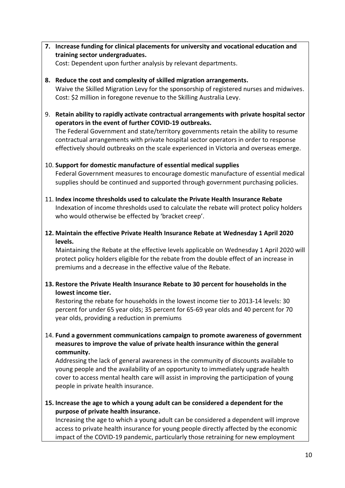**7. Increase funding for clinical placements for university and vocational education and training sector undergraduates.** 

Cost: Dependent upon further analysis by relevant departments.

- **8. Reduce the cost and complexity of skilled migration arrangements.**  Waive the Skilled Migration Levy for the sponsorship of registered nurses and midwives. Cost: \$2 million in foregone revenue to the Skilling Australia Levy.
- 9. **Retain ability to rapidly activate contractual arrangements with private hospital sector operators in the event of further COVID-19 outbreaks.**

The Federal Government and state/territory governments retain the ability to resume contractual arrangements with private hospital sector operators in order to response effectively should outbreaks on the scale experienced in Victoria and overseas emerge.

#### 10. **Support for domestic manufacture of essential medical supplies**

Federal Government measures to encourage domestic manufacture of essential medical supplies should be continued and supported through government purchasing policies.

- 11. **Index income thresholds used to calculate the Private Health Insurance Rebate** Indexation of income thresholds used to calculate the rebate will protect policy holders who would otherwise be effected by 'bracket creep'.
- **12. Maintain the effective Private Health Insurance Rebate at Wednesday 1 April 2020 levels.**

Maintaining the Rebate at the effective levels applicable on Wednesday 1 April 2020 will protect policy holders eligible for the rebate from the double effect of an increase in premiums and a decrease in the effective value of the Rebate.

#### **13. Restore the Private Health Insurance Rebate to 30 percent for households in the lowest income tier.**

Restoring the rebate for households in the lowest income tier to 2013-14 levels: 30 percent for under 65 year olds; 35 percent for 65-69 year olds and 40 percent for 70 year olds, providing a reduction in premiums

#### 14. **Fund a government communications campaign to promote awareness of government measures to improve the value of private health insurance within the general community.**

Addressing the lack of general awareness in the community of discounts available to young people and the availability of an opportunity to immediately upgrade health cover to access mental health care will assist in improving the participation of young people in private health insurance.

**15. Increase the age to which a young adult can be considered a dependent for the purpose of private health insurance.**

Increasing the age to which a young adult can be considered a dependent will improve access to private health insurance for young people directly affected by the economic impact of the COVID-19 pandemic, particularly those retraining for new employment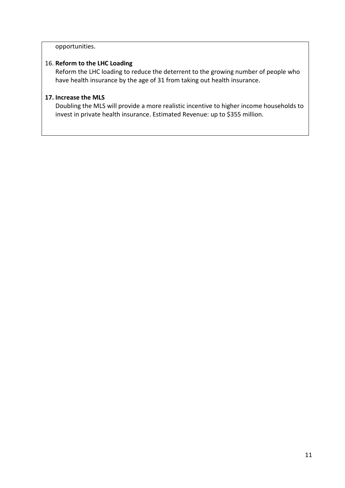#### opportunities.

#### 16. **Reform to the LHC Loading**

Reform the LHC loading to reduce the deterrent to the growing number of people who have health insurance by the age of 31 from taking out health insurance.

#### **17. Increase the MLS**

Doubling the MLS will provide a more realistic incentive to higher income households to invest in private health insurance. Estimated Revenue: up to \$355 million.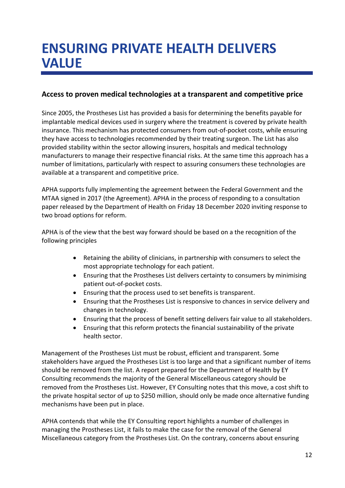### <span id="page-13-0"></span>**ENSURING PRIVATE HEALTH DELIVERS VALUE**

#### <span id="page-13-1"></span>**Access to proven medical technologies at a transparent and competitive price**

Since 2005, the Prostheses List has provided a basis for determining the benefits payable for implantable medical devices used in surgery where the treatment is covered by private health insurance. This mechanism has protected consumers from out-of-pocket costs, while ensuring they have access to technologies recommended by their treating surgeon. The List has also provided stability within the sector allowing insurers, hospitals and medical technology manufacturers to manage their respective financial risks. At the same time this approach has a number of limitations, particularly with respect to assuring consumers these technologies are available at a transparent and competitive price.

APHA supports fully implementing the agreement between the Federal Government and the MTAA signed in 2017 (the Agreement). APHA in the process of responding to a consultation paper released by the Department of Health on Friday 18 December 2020 inviting response to two broad options for reform.

APHA is of the view that the best way forward should be based on a the recognition of the following principles

- Retaining the ability of clinicians, in partnership with consumers to select the most appropriate technology for each patient.
- Ensuring that the Prostheses List delivers certainty to consumers by minimising patient out-of-pocket costs.
- Ensuring that the process used to set benefits is transparent.
- Ensuring that the Prostheses List is responsive to chances in service delivery and changes in technology.
- Ensuring that the process of benefit setting delivers fair value to all stakeholders.
- Ensuring that this reform protects the financial sustainability of the private health sector.

Management of the Prostheses List must be robust, efficient and transparent. Some stakeholders have argued the Prostheses List is too large and that a significant number of items should be removed from the list. A report prepared for the Department of Health by EY Consulting recommends the majority of the General Miscellaneous category should be removed from the Prostheses List. However, EY Consulting notes that this move, a cost shift to the private hospital sector of up to \$250 million, should only be made once alternative funding mechanisms have been put in place.

APHA contends that while the EY Consulting report highlights a number of challenges in managing the Prostheses List, it fails to make the case for the removal of the General Miscellaneous category from the Prostheses List. On the contrary, concerns about ensuring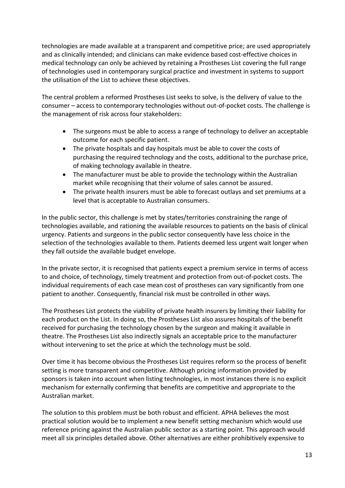technologies are made available at a transparent and competitive price; are used appropriately and as clinically intended; and clinicians can make evidence based cost-effective choices in medical technology can only be achieved by retaining a Prostheses List covering the full range of technologies used in contemporary surgical practice and investment in systems to support the utilisation of the List to achieve these objectives.

The central problem a reformed Prostheses List seeks to solve, is the delivery of value to the consumer – access to contemporary technologies without out-of-pocket costs. The challenge is the management of risk across four stakeholders:

- The surgeons must be able to access a range of technology to deliver an acceptable outcome for each specific patient.
- The private hospitals and day hospitals must be able to cover the costs of purchasing the required technology and the costs, additional to the purchase price, of making technology available in theatre.
- The manufacturer must be able to provide the technology within the Australian market while recognising that their volume of sales cannot be assured.
- The private health insurers must be able to forecast outlays and set premiums at a level that is acceptable to Australian consumers.

In the public sector, this challenge is met by states/territories constraining the range of technologies available, and rationing the available resources to patients on the basis of clinical urgency. Patients and surgeons in the public sector consequently have less choice in the selection of the technologies available to them. Patients deemed less urgent wait longer when they fall outside the available budget envelope.

In the private sector, it is recognised that patients expect a premium service in terms of access to and choice, of technology, timely treatment and protection from out-of-pocket costs. The individual requirements of each case mean cost of prostheses can vary significantly from one patient to another. Consequently, financial risk must be controlled in other ways.

The Prostheses List protects the viability of private health insurers by limiting their liability for each product on the List. In doing so, the Prostheses List also assures hospitals of the benefit received for purchasing the technology chosen by the surgeon and making it available in theatre. The Prostheses List also indirectly signals an acceptable price to the manufacturer without intervening to set the price at which the technology must be sold.

Over time it has become obvious the Prostheses List requires reform so the process of benefit setting is more transparent and competitive. Although pricing information provided by sponsors is taken into account when listing technologies, in most instances there is no explicit mechanism for externally confirming that benefits are competitive and appropriate to the Australian market.

The solution to this problem must be both robust and efficient. APHA believes the most practical solution would be to implement a new benefit setting mechanism which would use reference pricing against the Australian public sector as a starting point. This approach would meet all six principles detailed above. Other alternatives are either prohibitively expensive to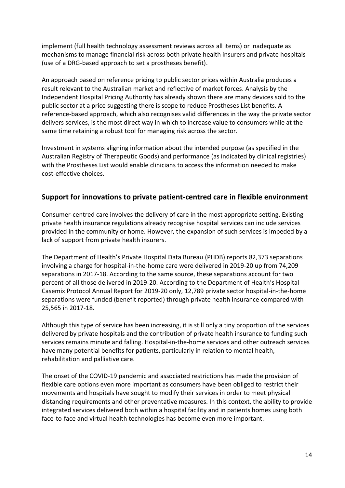implement (full health technology assessment reviews across all items) or inadequate as mechanisms to manage financial risk across both private health insurers and private hospitals (use of a DRG-based approach to set a prostheses benefit).

An approach based on reference pricing to public sector prices within Australia produces a result relevant to the Australian market and reflective of market forces. Analysis by the Independent Hospital Pricing Authority has already shown there are many devices sold to the public sector at a price suggesting there is scope to reduce Prostheses List benefits. A reference-based approach, which also recognises valid differences in the way the private sector delivers services, is the most direct way in which to increase value to consumers while at the same time retaining a robust tool for managing risk across the sector.

Investment in systems aligning information about the intended purpose (as specified in the Australian Registry of Therapeutic Goods) and performance (as indicated by clinical registries) with the Prostheses List would enable clinicians to access the information needed to make cost-effective choices.

#### <span id="page-15-0"></span>**Support for innovations to private patient-centred care in flexible environment**

Consumer-centred care involves the delivery of care in the most appropriate setting. Existing private health insurance regulations already recognise hospital services can include services provided in the community or home. However, the expansion of such services is impeded by a lack of support from private health insurers.

The Department of Health's Private Hospital Data Bureau (PHDB) reports 82,373 separations involving a charge for hospital-in-the-home care were delivered in 2019-20 up from 74,209 separations in 2017-18. According to the same source, these separations account for two percent of all those delivered in 2019-20. According to the Department of Health's Hospital Casemix Protocol Annual Report for 2019-20 only, 12,789 private sector hospital-in-the-home separations were funded (benefit reported) through private health insurance compared with 25,565 in 2017-18.

Although this type of service has been increasing, it is still only a tiny proportion of the services delivered by private hospitals and the contribution of private health insurance to funding such services remains minute and falling. Hospital-in-the-home services and other outreach services have many potential benefits for patients, particularly in relation to mental health, rehabilitation and palliative care.

The onset of the COVID-19 pandemic and associated restrictions has made the provision of flexible care options even more important as consumers have been obliged to restrict their movements and hospitals have sought to modify their services in order to meet physical distancing requirements and other preventative measures. In this context, the ability to provide integrated services delivered both within a hospital facility and in patients homes using both face-to-face and virtual health technologies has become even more important.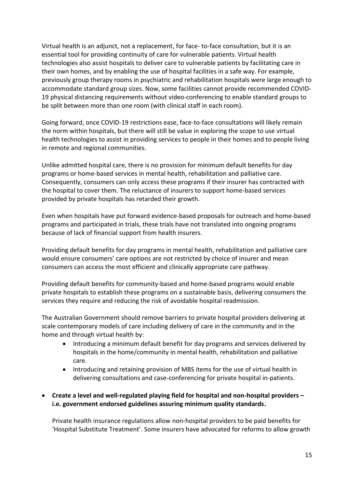Virtual health is an adjunct, not a replacement, for face- to-face consultation, but it is an essential tool for providing continuity of care for vulnerable patients. Virtual health technologies also assist hospitals to deliver care to vulnerable patients by facilitating care in their own homes, and by enabling the use of hospital facilities in a safe way. For example, previously group therapy rooms in psychiatric and rehabilitation hospitals were large enough to accommodate standard group sizes. Now, some facilities cannot provide recommended COVID-19 physical distancing requirements without video-conferencing to enable standard groups to be split between more than one room (with clinical staff in each room).

Going forward, once COVID-19 restrictions ease, face-to-face consultations will likely remain the norm within hospitals, but there will still be value in exploring the scope to use virtual health technologies to assist in providing services to people in their homes and to people living in remote and regional communities.

Unlike admitted hospital care, there is no provision for minimum default benefits for day programs or home-based services in mental health, rehabilitation and palliative care. Consequently, consumers can only access these programs if their insurer has contracted with the hospital to cover them. The reluctance of insurers to support home-based services provided by private hospitals has retarded their growth.

Even when hospitals have put forward evidence-based proposals for outreach and home-based programs and participated in trials, these trials have not translated into ongoing programs because of lack of financial support from health insurers.

Providing default benefits for day programs in mental health, rehabilitation and palliative care would ensure consumers' care options are not restricted by choice of insurer and mean consumers can access the most efficient and clinically appropriate care pathway.

Providing default benefits for community-based and home-based programs would enable private hospitals to establish these programs on a sustainable basis, delivering consumers the services they require and reducing the risk of avoidable hospital readmission.

The Australian Government should remove barriers to private hospital providers delivering at scale contemporary models of care including delivery of care in the community and in the home and through virtual health by:

- Introducing a minimum default benefit for day programs and services delivered by hospitals in the home/community in mental health, rehabilitation and palliative care.
- Introducing and retaining provision of MBS items for the use of virtual health in delivering consultations and case-conferencing for private hospital in-patients.

#### **Create a level and well-regulated playing field for hospital and non-hospital providers – i.e. government endorsed guidelines assuring minimum quality standards.**

Private health insurance regulations allow non-hospital providers to be paid benefits for 'Hospital Substitute Treatment'. Some insurers have advocated for reforms to allow growth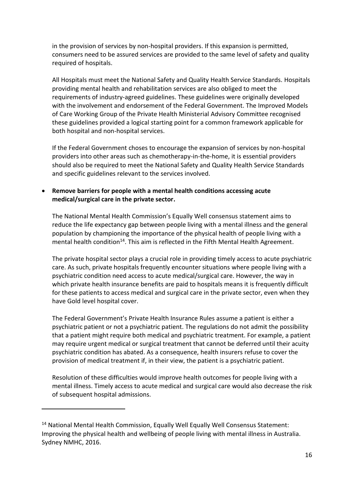in the provision of services by non-hospital providers. If this expansion is permitted, consumers need to be assured services are provided to the same level of safety and quality required of hospitals.

All Hospitals must meet the National Safety and Quality Health Service Standards. Hospitals providing mental health and rehabilitation services are also obliged to meet the requirements of industry-agreed guidelines. These guidelines were originally developed with the involvement and endorsement of the Federal Government. The Improved Models of Care Working Group of the Private Health Ministerial Advisory Committee recognised these guidelines provided a logical starting point for a common framework applicable for both hospital and non-hospital services.

If the Federal Government choses to encourage the expansion of services by non-hospital providers into other areas such as chemotherapy-in-the-home, it is essential providers should also be required to meet the National Safety and Quality Health Service Standards and specific guidelines relevant to the services involved.

#### **Remove barriers for people with a mental health conditions accessing acute medical/surgical care in the private sector.**

The National Mental Health Commission's Equally Well consensus statement aims to reduce the life expectancy gap between people living with a mental illness and the general population by championing the importance of the physical health of people living with a mental health condition<sup>14</sup>. This aim is reflected in the Fifth Mental Health Agreement.

The private hospital sector plays a crucial role in providing timely access to acute psychiatric care. As such, private hospitals frequently encounter situations where people living with a psychiatric condition need access to acute medical/surgical care. However, the way in which private health insurance benefits are paid to hospitals means it is frequently difficult for these patients to access medical and surgical care in the private sector, even when they have Gold level hospital cover.

The Federal Government's Private Health Insurance Rules assume a patient is either a psychiatric patient or not a psychiatric patient. The regulations do not admit the possibility that a patient might require both medical and psychiatric treatment. For example, a patient may require urgent medical or surgical treatment that cannot be deferred until their acuity psychiatric condition has abated. As a consequence, health insurers refuse to cover the provision of medical treatment if, in their view, the patient is a psychiatric patient.

Resolution of these difficulties would improve health outcomes for people living with a mental illness. Timely access to acute medical and surgical care would also decrease the risk of subsequent hospital admissions.

-

<sup>14</sup> National Mental Health Commission, Equally Well Equally Well Consensus Statement: Improving the physical health and wellbeing of people living with mental illness in Australia. Sydney NMHC, 2016.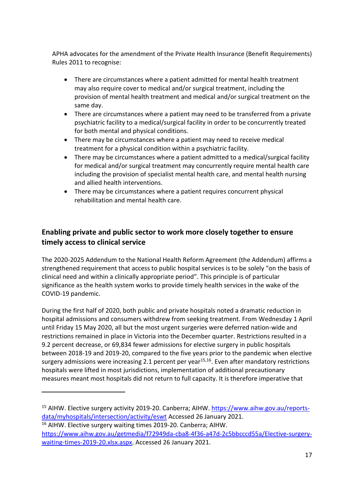APHA advocates for the amendment of the Private Health Insurance (Benefit Requirements) Rules 2011 to recognise:

- There are circumstances where a patient admitted for mental health treatment may also require cover to medical and/or surgical treatment, including the provision of mental health treatment and medical and/or surgical treatment on the same day.
- There are circumstances where a patient may need to be transferred from a private psychiatric facility to a medical/surgical facility in order to be concurrently treated for both mental and physical conditions.
- There may be circumstances where a patient may need to receive medical treatment for a physical condition within a psychiatric facility.
- There may be circumstances where a patient admitted to a medical/surgical facility for medical and/or surgical treatment may concurrently require mental health care including the provision of specialist mental health care, and mental health nursing and allied health interventions.
- There may be circumstances where a patient requires concurrent physical rehabilitation and mental health care.

#### <span id="page-18-0"></span>**Enabling private and public sector to work more closely together to ensure timely access to clinical service**

The 2020-2025 Addendum to the National Health Reform Agreement (the Addendum) affirms a strengthened requirement that access to public hospital services is to be solely "on the basis of clinical need and within a clinically appropriate period". This principle is of particular significance as the health system works to provide timely health services in the wake of the COVID-19 pandemic.

During the first half of 2020, both public and private hospitals noted a dramatic reduction in hospital admissions and consumers withdrew from seeking treatment. From Wednesday 1 April until Friday 15 May 2020, all but the most urgent surgeries were deferred nation-wide and restrictions remained in place in Victoria into the December quarter. Restrictions resulted in a 9.2 percent decrease, or 69,834 fewer admissions for elective surgery in public hospitals between 2018-19 and 2019-20, compared to the five years prior to the pandemic when elective surgery admissions were increasing 2.1 percent per year<sup>15,16</sup>. Even after mandatory restrictions hospitals were lifted in most jurisdictions, implementation of additional precautionary measures meant most hospitals did not return to full capacity. It is therefore imperative that

1

<sup>&</sup>lt;sup>15</sup> AIHW. Elective surgery activity 2019-20. Canberra; AIHW. [https://www.aihw.gov.au/reports](https://www.aihw.gov.au/reports-data/myhospitals/intersection/activity/eswt)[data/myhospitals/intersection/activity/eswt](https://www.aihw.gov.au/reports-data/myhospitals/intersection/activity/eswt) Accessed 26 January 2021.

<sup>16</sup> AIHW. Elective surgery waiting times 2019-20. Canberra; AIHW. [https://www.aihw.gov.au/getmedia/f72949da-cba8-4f36-a47d-2c5bbcccd55a/Elective-surgery](https://www.aihw.gov.au/getmedia/f72949da-cba8-4f36-a47d-2c5bbcccd55a/Elective-surgery-waiting-times-2019-20.xlsx.aspx)[waiting-times-2019-20.xlsx.aspx.](https://www.aihw.gov.au/getmedia/f72949da-cba8-4f36-a47d-2c5bbcccd55a/Elective-surgery-waiting-times-2019-20.xlsx.aspx) Accessed 26 January 2021.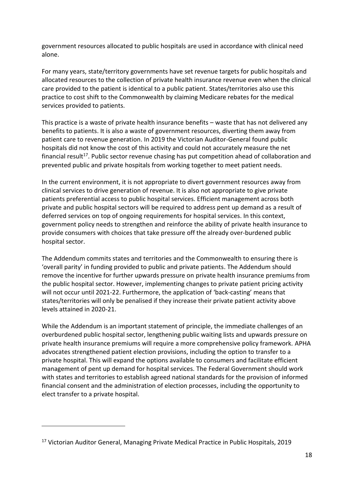government resources allocated to public hospitals are used in accordance with clinical need alone.

For many years, state/territory governments have set revenue targets for public hospitals and allocated resources to the collection of private health insurance revenue even when the clinical care provided to the patient is identical to a public patient. States/territories also use this practice to cost shift to the Commonwealth by claiming Medicare rebates for the medical services provided to patients.

This practice is a waste of private health insurance benefits – waste that has not delivered any benefits to patients. It is also a waste of government resources, diverting them away from patient care to revenue generation. In 2019 the Victorian Auditor-General found public hospitals did not know the cost of this activity and could not accurately measure the net financial result<sup>17</sup>. Public sector revenue chasing has put competition ahead of collaboration and prevented public and private hospitals from working together to meet patient needs.

In the current environment, it is not appropriate to divert government resources away from clinical services to drive generation of revenue. It is also not appropriate to give private patients preferential access to public hospital services. Efficient management across both private and public hospital sectors will be required to address pent up demand as a result of deferred services on top of ongoing requirements for hospital services. In this context, government policy needs to strengthen and reinforce the ability of private health insurance to provide consumers with choices that take pressure off the already over-burdened public hospital sector.

The Addendum commits states and territories and the Commonwealth to ensuring there is 'overall parity' in funding provided to public and private patients. The Addendum should remove the incentive for further upwards pressure on private health insurance premiums from the public hospital sector. However, implementing changes to private patient pricing activity will not occur until 2021-22. Furthermore, the application of 'back-casting' means that states/territories will only be penalised if they increase their private patient activity above levels attained in 2020-21.

While the Addendum is an important statement of principle, the immediate challenges of an overburdened public hospital sector, lengthening public waiting lists and upwards pressure on private health insurance premiums will require a more comprehensive policy framework. APHA advocates strengthened patient election provisions, including the option to transfer to a private hospital. This will expand the options available to consumers and facilitate efficient management of pent up demand for hospital services. The Federal Government should work with states and territories to establish agreed national standards for the provision of informed financial consent and the administration of election processes, including the opportunity to elect transfer to a private hospital.

-

<sup>17</sup> Victorian Auditor General, Managing Private Medical Practice in Public Hospitals, 2019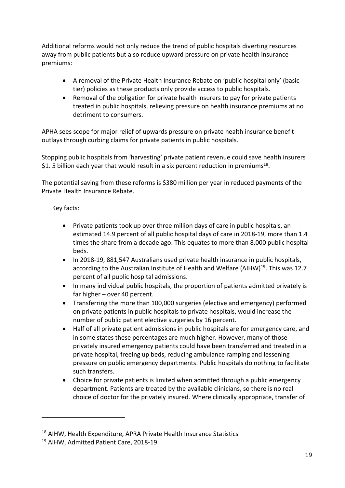Additional reforms would not only reduce the trend of public hospitals diverting resources away from public patients but also reduce upward pressure on private health insurance premiums:

- A removal of the Private Health Insurance Rebate on 'public hospital only' (basic tier) policies as these products only provide access to public hospitals.
- Removal of the obligation for private health insurers to pay for private patients treated in public hospitals, relieving pressure on health insurance premiums at no detriment to consumers.

APHA sees scope for major relief of upwards pressure on private health insurance benefit outlays through curbing claims for private patients in public hospitals.

Stopping public hospitals from 'harvesting' private patient revenue could save health insurers \$1. 5 billion each year that would result in a six percent reduction in premiums<sup>18</sup>.

The potential saving from these reforms is \$380 million per year in reduced payments of the Private Health Insurance Rebate.

#### Key facts:

- Private patients took up over three million days of care in public hospitals, an estimated 14.9 percent of all public hospital days of care in 2018-19, more than 1.4 times the share from a decade ago. This equates to more than 8,000 public hospital beds.
- In 2018-19, 881,547 Australians used private health insurance in public hospitals, according to the Australian Institute of Health and Welfare (AIHW)<sup>19</sup>. This was 12.7 percent of all public hospital admissions.
- In many individual public hospitals, the proportion of patients admitted privately is far higher – over 40 percent.
- Transferring the more than 100,000 surgeries (elective and emergency) performed on private patients in public hospitals to private hospitals, would increase the number of public patient elective surgeries by 16 percent.
- Half of all private patient admissions in public hospitals are for emergency care, and in some states these percentages are much higher. However, many of those privately insured emergency patients could have been transferred and treated in a private hospital, freeing up beds, reducing ambulance ramping and lessening pressure on public emergency departments. Public hospitals do nothing to facilitate such transfers.
- Choice for private patients is limited when admitted through a public emergency department. Patients are treated by the available clinicians, so there is no real choice of doctor for the privately insured. Where clinically appropriate, transfer of

-

<sup>18</sup> AIHW, Health Expenditure, APRA Private Health Insurance Statistics

<sup>19</sup> AIHW, Admitted Patient Care, 2018-19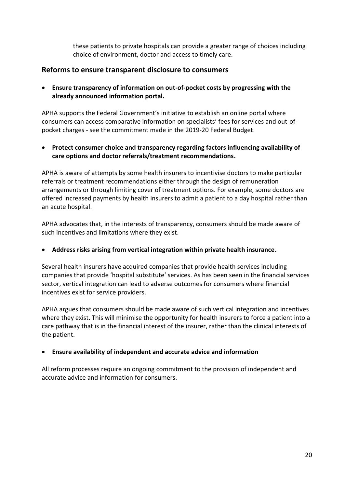these patients to private hospitals can provide a greater range of choices including choice of environment, doctor and access to timely care.

#### <span id="page-21-0"></span>**Reforms to ensure transparent disclosure to consumers**

 **Ensure transparency of information on out-of-pocket costs by progressing with the already announced information portal.** 

APHA supports the Federal Government's initiative to establish an online portal where consumers can access comparative information on specialists' fees for services and out-ofpocket charges - see the commitment made in the 2019-20 Federal Budget.

 **Protect consumer choice and transparency regarding factors influencing availability of care options and doctor referrals/treatment recommendations.** 

APHA is aware of attempts by some health insurers to incentivise doctors to make particular referrals or treatment recommendations either through the design of remuneration arrangements or through limiting cover of treatment options. For example, some doctors are offered increased payments by health insurers to admit a patient to a day hospital rather than an acute hospital.

APHA advocates that, in the interests of transparency, consumers should be made aware of such incentives and limitations where they exist.

#### **Address risks arising from vertical integration within private health insurance.**

Several health insurers have acquired companies that provide health services including companies that provide 'hospital substitute' services. As has been seen in the financial services sector, vertical integration can lead to adverse outcomes for consumers where financial incentives exist for service providers.

APHA argues that consumers should be made aware of such vertical integration and incentives where they exist. This will minimise the opportunity for health insurers to force a patient into a care pathway that is in the financial interest of the insurer, rather than the clinical interests of the patient.

#### **Ensure availability of independent and accurate advice and information**

All reform processes require an ongoing commitment to the provision of independent and accurate advice and information for consumers.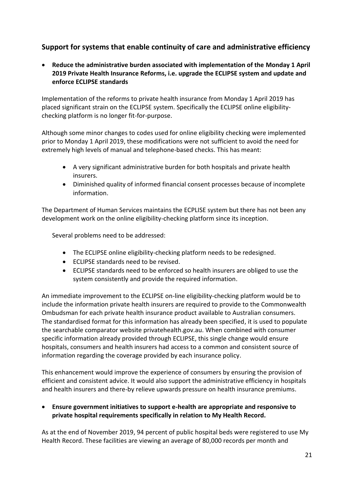#### <span id="page-22-0"></span>**Support for systems that enable continuity of care and administrative efficiency**

 **Reduce the administrative burden associated with implementation of the Monday 1 April 2019 Private Health Insurance Reforms, i.e. upgrade the ECLIPSE system and update and enforce ECLIPSE standards**

Implementation of the reforms to private health insurance from Monday 1 April 2019 has placed significant strain on the ECLIPSE system. Specifically the ECLIPSE online eligibilitychecking platform is no longer fit-for-purpose.

Although some minor changes to codes used for online eligibility checking were implemented prior to Monday 1 April 2019, these modifications were not sufficient to avoid the need for extremely high levels of manual and telephone-based checks. This has meant:

- A very significant administrative burden for both hospitals and private health insurers.
- Diminished quality of informed financial consent processes because of incomplete information.

The Department of Human Services maintains the ECPLISE system but there has not been any development work on the online eligibility-checking platform since its inception.

Several problems need to be addressed:

- The ECLIPSE online eligibility-checking platform needs to be redesigned.
- ECLIPSE standards need to be revised.
- ECLIPSE standards need to be enforced so health insurers are obliged to use the system consistently and provide the required information.

An immediate improvement to the ECLIPSE on-line eligibility-checking platform would be to include the information private health insurers are required to provide to the Commonwealth Ombudsman for each private health insurance product available to Australian consumers. The standardised format for this information has already been specified, it is used to populate the searchable comparator website privatehealth.gov.au. When combined with consumer specific information already provided through ECLIPSE, this single change would ensure hospitals, consumers and health insurers had access to a common and consistent source of information regarding the coverage provided by each insurance policy.

This enhancement would improve the experience of consumers by ensuring the provision of efficient and consistent advice. It would also support the administrative efficiency in hospitals and health insurers and there-by relieve upwards pressure on health insurance premiums.

 **Ensure government initiatives to support e-health are appropriate and responsive to private hospital requirements specifically in relation to My Health Record.** 

As at the end of November 2019, 94 percent of public hospital beds were registered to use My Health Record. These facilities are viewing an average of 80,000 records per month and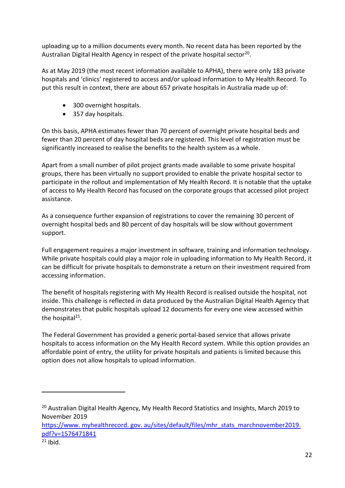uploading up to a million documents every month. No recent data has been reported by the Australian Digital Health Agency in respect of the private hospital sector<sup>20</sup>.

As at May 2019 (the most recent information available to APHA), there were only 183 private hospitals and 'clinics' registered to access and/or upload information to My Health Record. To put this result in context, there are about 657 private hospitals in Australia made up of:

- 300 overnight hospitals.
- 357 day hospitals.

On this basis, APHA estimates fewer than 70 percent of overnight private hospital beds and fewer than 20 percent of day hospital beds are registered. This level of registration must be significantly increased to realise the benefits to the health system as a whole.

Apart from a small number of pilot project grants made available to some private hospital groups, there has been virtually no support provided to enable the private hospital sector to participate in the rollout and implementation of My Health Record. It is notable that the uptake of access to My Health Record has focused on the corporate groups that accessed pilot project assistance.

As a consequence further expansion of registrations to cover the remaining 30 percent of overnight hospital beds and 80 percent of day hospitals will be slow without government support.

Full engagement requires a major investment in software, training and information technology. While private hospitals could play a major role in uploading information to My Health Record, it can be difficult for private hospitals to demonstrate a return on their investment required from accessing information.

The benefit of hospitals registering with My Health Record is realised outside the hospital, not inside. This challenge is reflected in data produced by the Australian Digital Health Agency that demonstrates that public hospitals upload 12 documents for every one view accessed within the hospital<sup>21</sup>.

The Federal Government has provided a generic portal-based service that allows private hospitals to access information on the My Health Record system. While this option provides an affordable point of entry, the utility for private hospitals and patients is limited because this option does not allow hospitals to upload information.

[https://www. myhealthrecord. gov. au/sites/default/files/mhr\\_stats\\_marchnovember2019.](https://www.myhealthrecord.gov.au/sites/default/files/mhr_stats_marchnovember2019.pdf?v=1576471841)  [pdf?v=1576471841](https://www.myhealthrecord.gov.au/sites/default/files/mhr_stats_marchnovember2019.pdf?v=1576471841)

1

<sup>&</sup>lt;sup>20</sup> Australian Digital Health Agency, My Health Record Statistics and Insights, March 2019 to November 2019

 $21$  Ibid.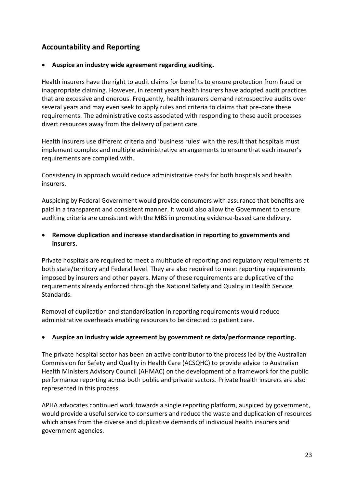#### <span id="page-24-0"></span>**Accountability and Reporting**

#### **Auspice an industry wide agreement regarding auditing.**

Health insurers have the right to audit claims for benefits to ensure protection from fraud or inappropriate claiming. However, in recent years health insurers have adopted audit practices that are excessive and onerous. Frequently, health insurers demand retrospective audits over several years and may even seek to apply rules and criteria to claims that pre-date these requirements. The administrative costs associated with responding to these audit processes divert resources away from the delivery of patient care.

Health insurers use different criteria and 'business rules' with the result that hospitals must implement complex and multiple administrative arrangements to ensure that each insurer's requirements are complied with.

Consistency in approach would reduce administrative costs for both hospitals and health insurers.

Auspicing by Federal Government would provide consumers with assurance that benefits are paid in a transparent and consistent manner. It would also allow the Government to ensure auditing criteria are consistent with the MBS in promoting evidence-based care delivery.

#### **Remove duplication and increase standardisation in reporting to governments and insurers.**

Private hospitals are required to meet a multitude of reporting and regulatory requirements at both state/territory and Federal level. They are also required to meet reporting requirements imposed by insurers and other payers. Many of these requirements are duplicative of the requirements already enforced through the National Safety and Quality in Health Service Standards.

Removal of duplication and standardisation in reporting requirements would reduce administrative overheads enabling resources to be directed to patient care.

#### **Auspice an industry wide agreement by government re data/performance reporting.**

The private hospital sector has been an active contributor to the process led by the Australian Commission for Safety and Quality in Health Care (ACSQHC) to provide advice to Australian Health Ministers Advisory Council (AHMAC) on the development of a framework for the public performance reporting across both public and private sectors. Private health insurers are also represented in this process.

APHA advocates continued work towards a single reporting platform, auspiced by government, would provide a useful service to consumers and reduce the waste and duplication of resources which arises from the diverse and duplicative demands of individual health insurers and government agencies.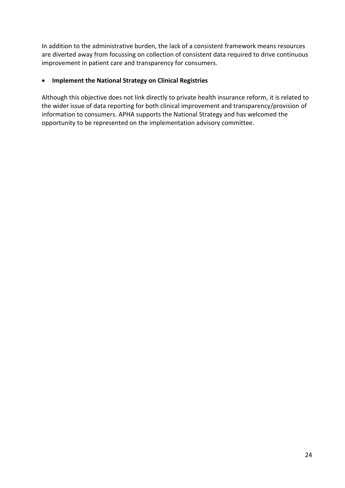In addition to the administrative burden, the lack of a consistent framework means resources are diverted away from focussing on collection of consistent data required to drive continuous improvement in patient care and transparency for consumers.

#### **Implement the National Strategy on Clinical Registries**

Although this objective does not link directly to private health insurance reform, it is related to the wider issue of data reporting for both clinical improvement and transparency/provision of information to consumers. APHA supports the National Strategy and has welcomed the opportunity to be represented on the implementation advisory committee.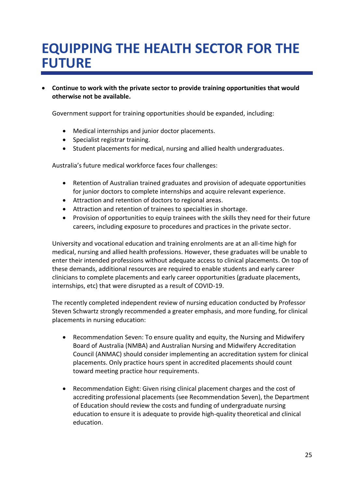### <span id="page-26-0"></span>**EQUIPPING THE HEALTH SECTOR FOR THE FUTURE**

 **Continue to work with the private sector to provide training opportunities that would otherwise not be available.** 

Government support for training opportunities should be expanded, including:

- Medical internships and junior doctor placements.
- Specialist registrar training.
- Student placements for medical, nursing and allied health undergraduates.

Australia's future medical workforce faces four challenges:

- Retention of Australian trained graduates and provision of adequate opportunities for junior doctors to complete internships and acquire relevant experience.
- Attraction and retention of doctors to regional areas.
- Attraction and retention of trainees to specialties in shortage.
- Provision of opportunities to equip trainees with the skills they need for their future careers, including exposure to procedures and practices in the private sector.

University and vocational education and training enrolments are at an all-time high for medical, nursing and allied health professions. However, these graduates will be unable to enter their intended professions without adequate access to clinical placements. On top of these demands, additional resources are required to enable students and early career clinicians to complete placements and early career opportunities (graduate placements, internships, etc) that were disrupted as a result of COVID-19.

The recently completed independent review of nursing education conducted by Professor Steven Schwartz strongly recommended a greater emphasis, and more funding, for clinical placements in nursing education:

- Recommendation Seven: To ensure quality and equity, the Nursing and Midwifery Board of Australia (NMBA) and Australian Nursing and Midwifery Accreditation Council (ANMAC) should consider implementing an accreditation system for clinical placements. Only practice hours spent in accredited placements should count toward meeting practice hour requirements.
- Recommendation Eight: Given rising clinical placement charges and the cost of accrediting professional placements (see Recommendation Seven), the Department of Education should review the costs and funding of undergraduate nursing education to ensure it is adequate to provide high-quality theoretical and clinical education.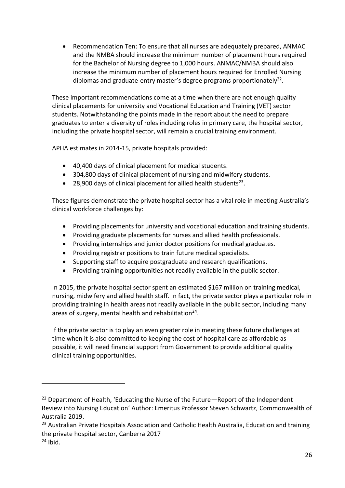Recommendation Ten: To ensure that all nurses are adequately prepared, ANMAC and the NMBA should increase the minimum number of placement hours required for the Bachelor of Nursing degree to 1,000 hours. ANMAC/NMBA should also increase the minimum number of placement hours required for Enrolled Nursing diplomas and graduate-entry master's degree programs proportionately<sup>22</sup>.

These important recommendations come at a time when there are not enough quality clinical placements for university and Vocational Education and Training (VET) sector students. Notwithstanding the points made in the report about the need to prepare graduates to enter a diversity of roles including roles in primary care, the hospital sector, including the private hospital sector, will remain a crucial training environment.

APHA estimates in 2014-15, private hospitals provided:

- 40,400 days of clinical placement for medical students.
- 304,800 days of clinical placement of nursing and midwifery students.
- 28,900 days of clinical placement for allied health students<sup>23</sup>.

These figures demonstrate the private hospital sector has a vital role in meeting Australia's clinical workforce challenges by:

- Providing placements for university and vocational education and training students.
- Providing graduate placements for nurses and allied health professionals.
- Providing internships and junior doctor positions for medical graduates.
- Providing registrar positions to train future medical specialists.
- Supporting staff to acquire postgraduate and research qualifications.
- Providing training opportunities not readily available in the public sector.

In 2015, the private hospital sector spent an estimated \$167 million on training medical, nursing, midwifery and allied health staff. In fact, the private sector plays a particular role in providing training in health areas not readily available in the public sector, including many areas of surgery, mental health and rehabilitation<sup>24</sup>.

If the private sector is to play an even greater role in meeting these future challenges at time when it is also committed to keeping the cost of hospital care as affordable as possible, it will need financial support from Government to provide additional quality clinical training opportunities.

-

<sup>22</sup> Department of Health, 'Educating the Nurse of the Future*—*Report of the Independent Review into Nursing Education' Author: Emeritus Professor Steven Schwartz, Commonwealth of Australia 2019.

<sup>&</sup>lt;sup>23</sup> Australian Private Hospitals Association and Catholic Health Australia, Education and training the private hospital sector, Canberra 2017

 $24$  Ibid.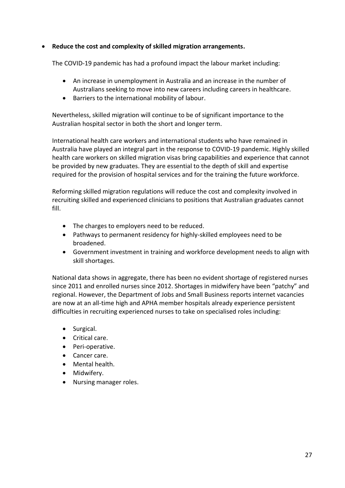#### **Reduce the cost and complexity of skilled migration arrangements.**

The COVID-19 pandemic has had a profound impact the labour market including:

- An increase in unemployment in Australia and an increase in the number of Australians seeking to move into new careers including careers in healthcare.
- Barriers to the international mobility of labour.

Nevertheless, skilled migration will continue to be of significant importance to the Australian hospital sector in both the short and longer term.

International health care workers and international students who have remained in Australia have played an integral part in the response to COVID-19 pandemic. Highly skilled health care workers on skilled migration visas bring capabilities and experience that cannot be provided by new graduates. They are essential to the depth of skill and expertise required for the provision of hospital services and for the training the future workforce.

Reforming skilled migration regulations will reduce the cost and complexity involved in recruiting skilled and experienced clinicians to positions that Australian graduates cannot fill.

- The charges to employers need to be reduced.
- Pathways to permanent residency for highly-skilled employees need to be broadened.
- Government investment in training and workforce development needs to align with skill shortages.

National data shows in aggregate, there has been no evident shortage of registered nurses since 2011 and enrolled nurses since 2012. Shortages in midwifery have been "patchy" and regional. However, the Department of Jobs and Small Business reports internet vacancies are now at an all-time high and APHA member hospitals already experience persistent difficulties in recruiting experienced nurses to take on specialised roles including:

- Surgical.
- Critical care.
- Peri-operative.
- Cancer care.
- Mental health.
- Midwifery.
- Nursing manager roles.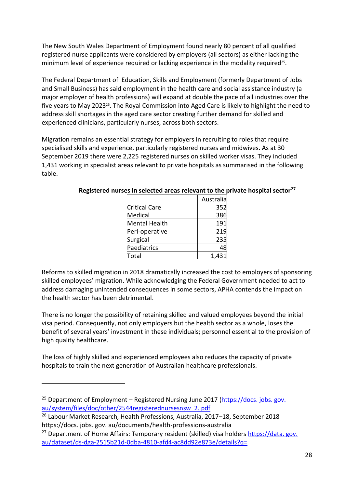The New South Wales Department of Employment found nearly 80 percent of all qualified registered nurse applicants were considered by employers (all sectors) as either lacking the minimum level of experience required or lacking experience in the modality required<sup>25</sup>.

The Federal Department of Education, Skills and Employment (formerly Department of Jobs and Small Business) has said employment in the health care and social assistance industry (a major employer of health professions) will expand at double the pace of all industries over the five years to May 2023<sup>26</sup>. The Royal Commission into Aged Care is likely to highlight the need to address skill shortages in the aged care sector creating further demand for skilled and experienced clinicians, particularly nurses, across both sectors.

Migration remains an essential strategy for employers in recruiting to roles that require specialised skills and experience, particularly registered nurses and midwives. As at 30 September 2019 there were 2,225 registered nurses on skilled worker visas. They included 1,431 working in specialist areas relevant to private hospitals as summarised in the following table.

|                      | Australia |
|----------------------|-----------|
| <b>Critical Care</b> | 352       |
| Medical              | 386       |
| Mental Health        | 191       |
| Peri-operative       | 219       |
| Surgical             | 235       |
| Paediatrics          | 48        |
| Total                |           |

**Registered nurses in selected areas relevant to the private hospital sector<sup>27</sup>**

Reforms to skilled migration in 2018 dramatically increased the cost to employers of sponsoring skilled employees' migration. While acknowledging the Federal Government needed to act to address damaging unintended consequences in some sectors, APHA contends the impact on the health sector has been detrimental.

There is no longer the possibility of retaining skilled and valued employees beyond the initial visa period. Consequently, not only employers but the health sector as a whole, loses the benefit of several years' investment in these individuals; personnel essential to the provision of high quality healthcare.

The loss of highly skilled and experienced employees also reduces the capacity of private hospitals to train the next generation of Australian healthcare professionals.

<u>.</u>

<sup>&</sup>lt;sup>25</sup> Department of Employment – Registered Nursing June 2017 (https://docs. jobs. gov. [au/system/files/doc/other/2544registerednursesnsw\\_2. pdf](https://docs.jobs.gov.au/system/files/doc/other/2544registerednursesnsw_2.pdf)

<sup>26</sup> Labour Market Research, Health Professions, Australia, 2017–18, September 2018 https://docs. jobs. gov. au/documents/health-professions-australia

<sup>&</sup>lt;sup>27</sup> Department of Home Affairs: Temporary resident (skilled) visa holders https://data. gov. [au/dataset/ds-dga-2515b21d-0dba-4810-afd4-ac8dd92e873e/details?q=](https://data.gov.au/dataset/ds-dga-2515b21d-0dba-4810-afd4-ac8dd92e873e/details?q=)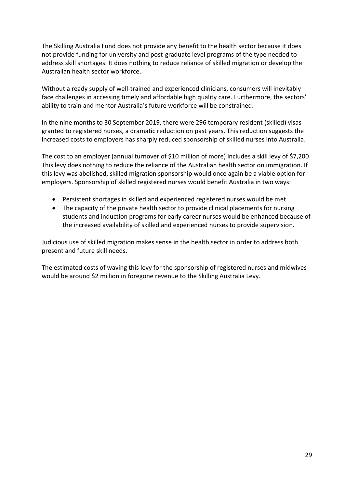The Skilling Australia Fund does not provide any benefit to the health sector because it does not provide funding for university and post-graduate level programs of the type needed to address skill shortages. It does nothing to reduce reliance of skilled migration or develop the Australian health sector workforce.

Without a ready supply of well-trained and experienced clinicians, consumers will inevitably face challenges in accessing timely and affordable high quality care. Furthermore, the sectors' ability to train and mentor Australia's future workforce will be constrained.

In the nine months to 30 September 2019, there were 296 temporary resident (skilled) visas granted to registered nurses, a dramatic reduction on past years. This reduction suggests the increased costs to employers has sharply reduced sponsorship of skilled nurses into Australia.

The cost to an employer (annual turnover of \$10 million of more) includes a skill levy of \$7,200. This levy does nothing to reduce the reliance of the Australian health sector on immigration. If this levy was abolished, skilled migration sponsorship would once again be a viable option for employers. Sponsorship of skilled registered nurses would benefit Australia in two ways:

- Persistent shortages in skilled and experienced registered nurses would be met.
- The capacity of the private health sector to provide clinical placements for nursing students and induction programs for early career nurses would be enhanced because of the increased availability of skilled and experienced nurses to provide supervision.

Judicious use of skilled migration makes sense in the health sector in order to address both present and future skill needs.

The estimated costs of waving this levy for the sponsorship of registered nurses and midwives would be around \$2 million in foregone revenue to the Skilling Australia Levy.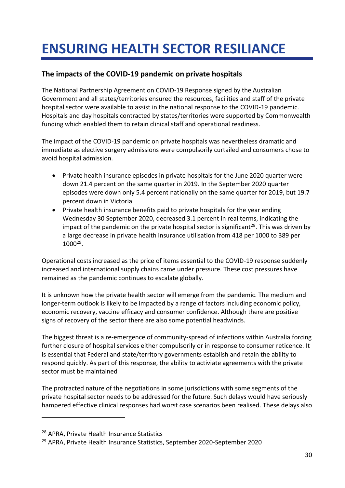## <span id="page-31-0"></span>**ENSURING HEALTH SECTOR RESILIANCE**

#### **The impacts of the COVID-19 pandemic on private hospitals**

The National Partnership Agreement on COVID-19 Response signed by the Australian Government and all states/territories ensured the resources, facilities and staff of the private hospital sector were available to assist in the national response to the COVID-19 pandemic. Hospitals and day hospitals contracted by states/territories were supported by Commonwealth funding which enabled them to retain clinical staff and operational readiness.

The impact of the COVID-19 pandemic on private hospitals was nevertheless dramatic and immediate as elective surgery admissions were compulsorily curtailed and consumers chose to avoid hospital admission.

- Private health insurance episodes in private hospitals for the June 2020 quarter were down 21.4 percent on the same quarter in 2019. In the September 2020 quarter episodes were down only 5.4 percent nationally on the same quarter for 2019, but 19.7 percent down in Victoria.
- Private health insurance benefits paid to private hospitals for the year ending Wednesday 30 September 2020, decreased 3.1 percent in real terms, indicating the impact of the pandemic on the private hospital sector is significant<sup>28</sup>. This was driven by a large decrease in private health insurance utilisation from 418 per 1000 to 389 per 1000<sup>29</sup> .

Operational costs increased as the price of items essential to the COVID-19 response suddenly increased and international supply chains came under pressure. These cost pressures have remained as the pandemic continues to escalate globally.

It is unknown how the private health sector will emerge from the pandemic. The medium and longer-term outlook is likely to be impacted by a range of factors including economic policy, economic recovery, vaccine efficacy and consumer confidence. Although there are positive signs of recovery of the sector there are also some potential headwinds.

The biggest threat is a re-emergence of community-spread of infections within Australia forcing further closure of hospital services either compulsorily or in response to consumer reticence. It is essential that Federal and state/territory governments establish and retain the ability to respond quickly. As part of this response, the ability to activiate agreements with the private sector must be maintained

The protracted nature of the negotiations in some jurisdictions with some segments of the private hospital sector needs to be addressed for the future. Such delays would have seriously hampered effective clinical responses had worst case scenarios been realised. These delays also

<u>.</u>

<sup>28</sup> APRA, Private Health Insurance Statistics

<sup>29</sup> APRA, Private Health Insurance Statistics, September 2020-September 2020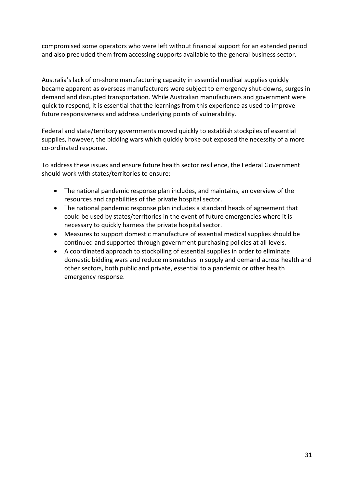compromised some operators who were left without financial support for an extended period and also precluded them from accessing supports available to the general business sector.

Australia's lack of on-shore manufacturing capacity in essential medical supplies quickly became apparent as overseas manufacturers were subject to emergency shut-downs, surges in demand and disrupted transportation. While Australian manufacturers and government were quick to respond, it is essential that the learnings from this experience as used to improve future responsiveness and address underlying points of vulnerability.

Federal and state/territory governments moved quickly to establish stockpiles of essential supplies, however, the bidding wars which quickly broke out exposed the necessity of a more co-ordinated response.

To address these issues and ensure future health sector resilience, the Federal Government should work with states/territories to ensure:

- The national pandemic response plan includes, and maintains, an overview of the resources and capabilities of the private hospital sector.
- The national pandemic response plan includes a standard heads of agreement that could be used by states/territories in the event of future emergencies where it is necessary to quickly harness the private hospital sector.
- Measures to support domestic manufacture of essential medical supplies should be continued and supported through government purchasing policies at all levels.
- A coordinated approach to stockpiling of essential supplies in order to eliminate domestic bidding wars and reduce mismatches in supply and demand across health and other sectors, both public and private, essential to a pandemic or other health emergency response.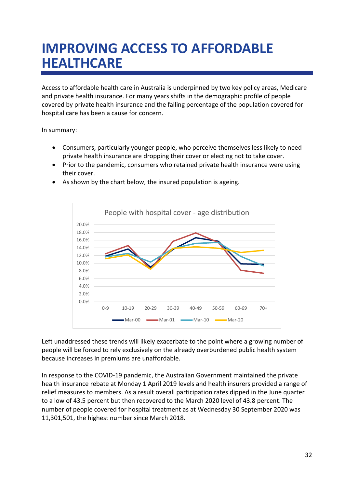## <span id="page-33-0"></span>**IMPROVING ACCESS TO AFFORDABLE HEALTHCARE**

Access to affordable health care in Australia is underpinned by two key policy areas, Medicare and private health insurance. For many years shifts in the demographic profile of people covered by private health insurance and the falling percentage of the population covered for hospital care has been a cause for concern.

In summary:

- Consumers, particularly younger people, who perceive themselves less likely to need private health insurance are dropping their cover or electing not to take cover.
- Prior to the pandemic, consumers who retained private health insurance were using their cover.



As shown by the chart below, the insured population is ageing.

Left unaddressed these trends will likely exacerbate to the point where a growing number of people will be forced to rely exclusively on the already overburdened public health system because increases in premiums are unaffordable.

In response to the COVID-19 pandemic, the Australian Government maintained the private health insurance rebate at Monday 1 April 2019 levels and health insurers provided a range of relief measures to members. As a result overall participation rates dipped in the June quarter to a low of 43.5 percent but then recovered to the March 2020 level of 43.8 percent. The number of people covered for hospital treatment as at Wednesday 30 September 2020 was 11,301,501, the highest number since March 2018.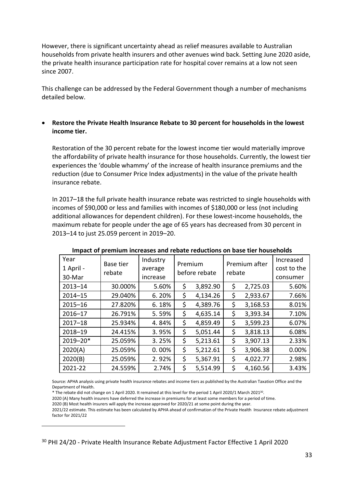However, there is significant uncertainty ahead as relief measures available to Australian households from private health insurers and other avenues wind back. Setting June 2020 aside, the private health insurance participation rate for hospital cover remains at a low not seen since 2007.

This challenge can be addressed by the Federal Government though a number of mechanisms detailed below.

#### **Restore the Private Health Insurance Rebate to 30 percent for households in the lowest income tier.**

Restoration of the 30 percent rebate for the lowest income tier would materially improve the affordability of private health insurance for those households. Currently, the lowest tier experiences the 'double whammy' of the increase of health insurance premiums and the reduction (due to Consumer Price Index adjustments) in the value of the private health insurance rebate.

In 2017–18 the full private health insurance rebate was restricted to single households with incomes of \$90,000 or less and families with incomes of \$180,000 or less (not including additional allowances for dependent children). For these lowest-income households, the maximum rebate for people under the age of 65 years has decreased from 30 percent in 2013–14 to just 25.059 percent in 2019–20.

| Year<br>1 April -<br>30-Mar | Base tier<br>rebate | Industry<br>average<br>increase | Premium<br>before rebate |          | Premium after<br>rebate |          | Increased<br>cost to the<br>consumer |
|-----------------------------|---------------------|---------------------------------|--------------------------|----------|-------------------------|----------|--------------------------------------|
| $2013 - 14$                 | 30.000%             | 5.60%                           | \$                       | 3,892.90 | \$                      | 2,725.03 | 5.60%                                |
| $2014 - 15$                 | 29.040%             | 6.20%                           | \$                       | 4,134.26 | \$                      | 2,933.67 | 7.66%                                |
| $2015 - 16$                 | 27.820%             | 6.18%                           | \$                       | 4,389.76 | \$                      | 3,168.53 | 8.01%                                |
| $2016 - 17$                 | 26.791%             | 5.59%                           | \$                       | 4,635.14 | \$                      | 3,393.34 | 7.10%                                |
| $2017 - 18$                 | 25.934%             | 4.84%                           | \$                       | 4,859.49 | \$                      | 3,599.23 | 6.07%                                |
| 2018-19                     | 24.415%             | 3.95%                           | \$                       | 5,051.44 | \$                      | 3,818.13 | 6.08%                                |
| 2019-20*                    | 25.059%             | 3.25%                           | \$                       | 5,213.61 | \$                      | 3,907.13 | 2.33%                                |
| 2020(A)                     | 25.059%             | 0.00%                           | \$                       | 5,212.61 | \$                      | 3,906.38 | 0.00%                                |
| 2020(B)                     | 25.059%             | 2.92%                           | \$                       | 5,367.91 | \$                      | 4,022.77 | 2.98%                                |
| 2021-22                     | 24.559%             | 2.74%                           | \$                       | 5,514.99 | \$                      | 4,160.56 | 3.43%                                |

#### **Impact of premium increases and rebate reductions on base tier households**

Source: APHA analysis using private health insurance rebates and income tiers as published by the Australian Taxation Office and the Department of Health.

\* The rebate did not change on 1 April 2020. It remained at this level for the period 1 April 2020/1 March 2021<sup>30</sup> .

2020 (A) Many health insurers have deferred the increase in premiums for at least some members for a period of time.

2020 (B) Most health insurers will apply the increase approved for 2020/21 at some point during the year.

<u>.</u>

2021/22 estimate. This estimate has been calculated by APHA ahead of confirmation of the Private Health Insurance rebate adjustment factor for 2021/22

<sup>30</sup> PHI 24/20 - Private Health Insurance Rebate Adjustment Factor Effective 1 April 2020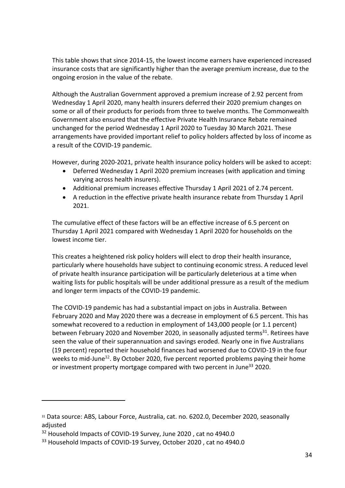This table shows that since 2014-15, the lowest income earners have experienced increased insurance costs that are significantly higher than the average premium increase, due to the ongoing erosion in the value of the rebate.

Although the Australian Government approved a premium increase of 2.92 percent from Wednesday 1 April 2020, many health insurers deferred their 2020 premium changes on some or all of their products for periods from three to twelve months. The Commonwealth Government also ensured that the effective Private Health Insurance Rebate remained unchanged for the period Wednesday 1 April 2020 to Tuesday 30 March 2021. These arrangements have provided important relief to policy holders affected by loss of income as a result of the COVID-19 pandemic.

However, during 2020-2021, private health insurance policy holders will be asked to accept:

- Deferred Wednesday 1 April 2020 premium increases (with application and timing varying across health insurers).
- Additional premium increases effective Thursday 1 April 2021 of 2.74 percent.
- A reduction in the effective private health insurance rebate from Thursday 1 April 2021.

The cumulative effect of these factors will be an effective increase of 6.5 percent on Thursday 1 April 2021 compared with Wednesday 1 April 2020 for households on the lowest income tier.

This creates a heightened risk policy holders will elect to drop their health insurance, particularly where households have subject to continuing economic stress. A reduced level of private health insurance participation will be particularly deleterious at a time when waiting lists for public hospitals will be under additional pressure as a result of the medium and longer term impacts of the COVID-19 pandemic.

The COVID-19 pandemic has had a substantial impact on jobs in Australia. Between February 2020 and May 2020 there was a decrease in employment of 6.5 percent. This has somewhat recovered to a reduction in employment of 143,000 people (or 1.1 percent) between February 2020 and November 2020, in seasonally adjusted terms<sup>31</sup>. Retirees have seen the value of their superannuation and savings eroded. Nearly one in five Australians (19 percent) reported their household finances had worsened due to COVID-19 in the four weeks to mid-June<sup>32</sup>. By October 2020, five percent reported problems paying their home or investment property mortgage compared with two percent in June<sup>33</sup> 2020.

1

<sup>31</sup> Data source: ABS, Labour Force, Australia, cat. no. 6202.0, December 2020, seasonally adjusted

<sup>&</sup>lt;sup>32</sup> Household Impacts of COVID-19 Survey, June 2020, cat no 4940.0

<sup>&</sup>lt;sup>33</sup> Household Impacts of COVID-19 Survey, October 2020, cat no 4940.0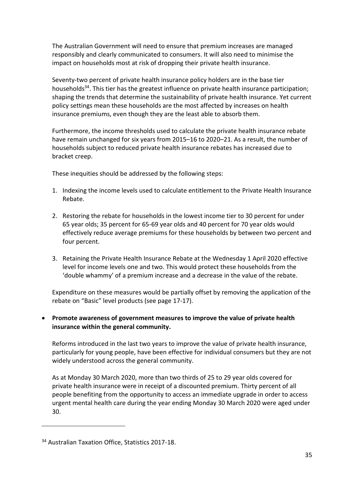The Australian Government will need to ensure that premium increases are managed responsibly and clearly communicated to consumers. It will also need to minimise the impact on households most at risk of dropping their private health insurance.

Seventy-two percent of private health insurance policy holders are in the base tier households<sup>34</sup>. This tier has the greatest influence on private health insurance participation; shaping the trends that determine the sustainability of private health insurance. Yet current policy settings mean these households are the most affected by increases on health insurance premiums, even though they are the least able to absorb them.

Furthermore, the income thresholds used to calculate the private health insurance rebate have remain unchanged for six years from 2015–16 to 2020–21. As a result, the number of households subject to reduced private health insurance rebates has increased due to bracket creep.

These inequities should be addressed by the following steps:

- 1. Indexing the income levels used to calculate entitlement to the Private Health Insurance Rebate.
- 2. Restoring the rebate for households in the lowest income tier to 30 percent for under 65 year olds; 35 percent for 65-69 year olds and 40 percent for 70 year olds would effectively reduce average premiums for these households by between two percent and four percent.
- 3. Retaining the Private Health Insurance Rebate at the Wednesday 1 April 2020 effective level for income levels one and two. This would protect these households from the 'double whammy' of a premium increase and a decrease in the value of the rebate.

Expenditure on these measures would be partially offset by removing the application of the rebate on "Basic" level products (see page [17-](#page-18-0)17).

#### **Promote awareness of government measures to improve the value of private health insurance within the general community.**

Reforms introduced in the last two years to improve the value of private health insurance, particularly for young people, have been effective for individual consumers but they are not widely understood across the general community.

As at Monday 30 March 2020, more than two thirds of 25 to 29 year olds covered for private health insurance were in receipt of a discounted premium. Thirty percent of all people benefiting from the opportunity to access an immediate upgrade in order to access urgent mental health care during the year ending Monday 30 March 2020 were aged under 30.

<u>.</u>

<sup>&</sup>lt;sup>34</sup> Australian Taxation Office, Statistics 2017-18.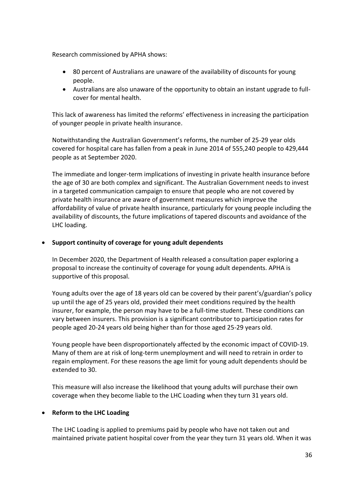Research commissioned by APHA shows:

- 80 percent of Australians are unaware of the availability of discounts for young people.
- Australians are also unaware of the opportunity to obtain an instant upgrade to fullcover for mental health.

This lack of awareness has limited the reforms' effectiveness in increasing the participation of younger people in private health insurance.

Notwithstanding the Australian Government's reforms, the number of 25-29 year olds covered for hospital care has fallen from a peak in June 2014 of 555,240 people to 429,444 people as at September 2020.

The immediate and longer-term implications of investing in private health insurance before the age of 30 are both complex and significant. The Australian Government needs to invest in a targeted communication campaign to ensure that people who are not covered by private health insurance are aware of government measures which improve the affordability of value of private health insurance, particularly for young people including the availability of discounts, the future implications of tapered discounts and avoidance of the LHC loading.

#### **Support continuity of coverage for young adult dependents**

In December 2020, the Department of Health released a consultation paper exploring a proposal to increase the continuity of coverage for young adult dependents. APHA is supportive of this proposal.

Young adults over the age of 18 years old can be covered by their parent's/guardian's policy up until the age of 25 years old, provided their meet conditions required by the health insurer, for example, the person may have to be a full-time student. These conditions can vary between insurers. This provision is a significant contributor to participation rates for people aged 20-24 years old being higher than for those aged 25-29 years old.

Young people have been disproportionately affected by the economic impact of COVID-19. Many of them are at risk of long-term unemployment and will need to retrain in order to regain employment. For these reasons the age limit for young adult dependents should be extended to 30.

This measure will also increase the likelihood that young adults will purchase their own coverage when they become liable to the LHC Loading when they turn 31 years old.

#### **Reform to the LHC Loading**

The LHC Loading is applied to premiums paid by people who have not taken out and maintained private patient hospital cover from the year they turn 31 years old. When it was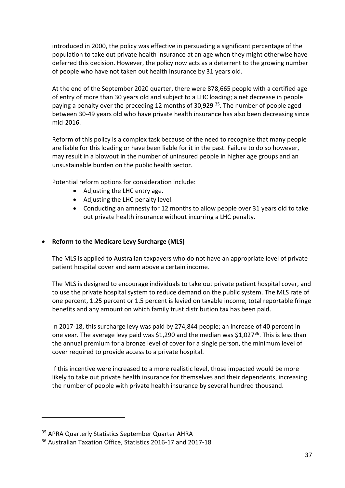introduced in 2000, the policy was effective in persuading a significant percentage of the population to take out private health insurance at an age when they might otherwise have deferred this decision. However, the policy now acts as a deterrent to the growing number of people who have not taken out health insurance by 31 years old.

At the end of the September 2020 quarter, there were 878,665 people with a certified age of entry of more than 30 years old and subject to a LHC loading; a net decrease in people paying a penalty over the preceding 12 months of 30,929<sup>35</sup>. The number of people aged between 30-49 years old who have private health insurance has also been decreasing since mid-2016.

Reform of this policy is a complex task because of the need to recognise that many people are liable for this loading or have been liable for it in the past. Failure to do so however, may result in a blowout in the number of uninsured people in higher age groups and an unsustainable burden on the public health sector.

Potential reform options for consideration include:

- Adjusting the LHC entry age.
- Adjusting the LHC penalty level.
- Conducting an amnesty for 12 months to allow people over 31 years old to take out private health insurance without incurring a LHC penalty.

#### **Reform to the Medicare Levy Surcharge (MLS)**

The MLS is applied to Australian taxpayers who do not have an appropriate level of private patient hospital cover and earn above a certain income.

The MLS is designed to encourage individuals to take out private patient hospital cover, and to use the private hospital system to reduce demand on the public system. The MLS rate of one percent, 1.25 percent or 1.5 percent is levied on taxable income, total reportable fringe benefits and any amount on which family trust distribution tax has been paid.

In 2017-18, this surcharge levy was paid by 274,844 people; an increase of 40 percent in one year. The average levy paid was \$1,290 and the median was \$1,027<sup>36</sup>. This is less than the annual premium for a bronze level of cover for a single person, the minimum level of cover required to provide access to a private hospital.

If this incentive were increased to a more realistic level, those impacted would be more likely to take out private health insurance for themselves and their dependents, increasing the number of people with private health insurance by several hundred thousand.

<u>.</u>

<sup>&</sup>lt;sup>35</sup> APRA Quarterly Statistics September Quarter AHRA

<sup>&</sup>lt;sup>36</sup> Australian Taxation Office, Statistics 2016-17 and 2017-18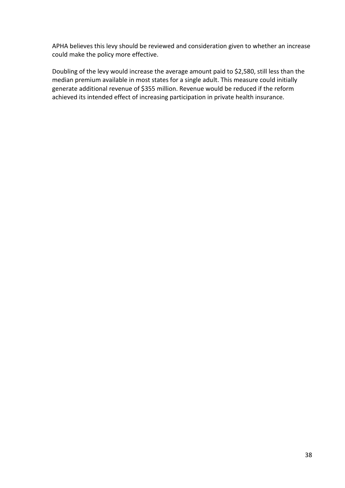APHA believes this levy should be reviewed and consideration given to whether an increase could make the policy more effective.

Doubling of the levy would increase the average amount paid to \$2,580, still less than the median premium available in most states for a single adult. This measure could initially generate additional revenue of \$355 million. Revenue would be reduced if the reform achieved its intended effect of increasing participation in private health insurance.